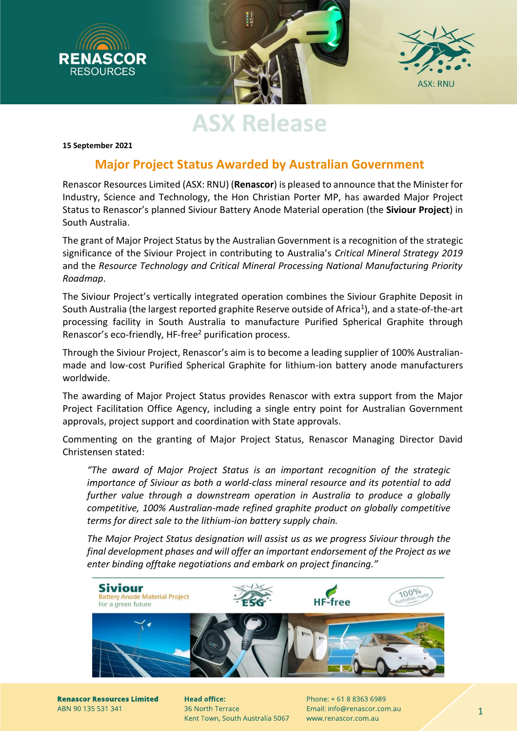

# **ASX Release**

**15 September 2021**

### **Major Project Status Awarded by Australian Government**

Renascor Resources Limited (ASX: RNU) (**Renascor**) is pleased to announce that the Minister for Industry, Science and Technology, the Hon Christian Porter MP, has awarded Major Project Status to Renascor's planned Siviour Battery Anode Material operation (the **Siviour Project**) in South Australia.

The grant of Major Project Status by the Australian Government is a recognition of the strategic significance of the Siviour Project in contributing to Australia's *Critical Mineral Strategy 2019* and the *Resource Technology and Critical Mineral Processing National Manufacturing Priority Roadmap*.

The Siviour Project's vertically integrated operation combines the Siviour Graphite Deposit in South Australia (the largest reported graphite Reserve outside of Africa<sup>1</sup>), and a state-of-the-art processing facility in South Australia to manufacture Purified Spherical Graphite through Renascor's eco-friendly, HF-free<sup>2</sup> purification process.

Through the Siviour Project, Renascor's aim is to become a leading supplier of 100% Australianmade and low-cost Purified Spherical Graphite for lithium-ion battery anode manufacturers worldwide.

The awarding of Major Project Status provides Renascor with extra support from the Major Project Facilitation Office Agency, including a single entry point for Australian Government approvals, project support and coordination with State approvals.

Commenting on the granting of Major Project Status, Renascor Managing Director David Christensen stated:

*"The award of Major Project Status is an important recognition of the strategic importance of Siviour as both a world-class mineral resource and its potential to add further value through a downstream operation in Australia to produce a globally competitive, 100% Australian-made refined graphite product on globally competitive terms for direct sale to the lithium-ion battery supply chain.*

*The Major Project Status designation will assist us as we progress Siviour through the final development phases and will offer an important endorsement of the Project as we enter binding offtake negotiations and embark on project financing."*



**Renascor Resources Limited** ABN 90 135 531 341

**Head office:** 36 North Terrace Kent Town, South Australia 5067

Phone: + 61 8 8363 6989 Email: info@renascor.com.au www.renascor.com.au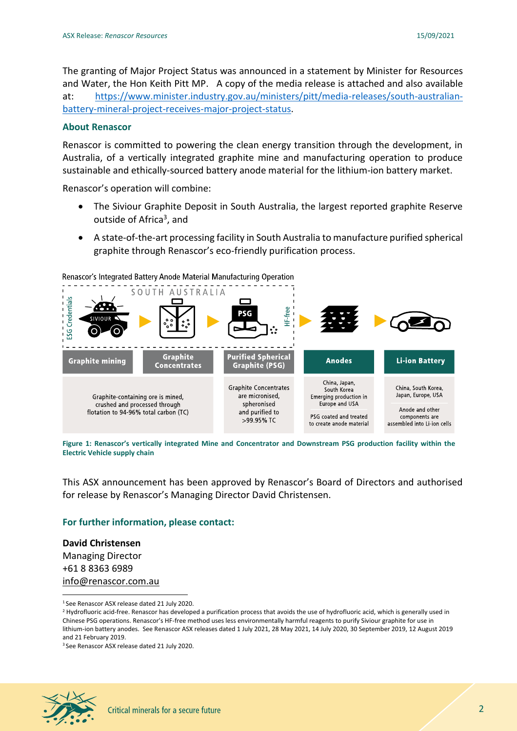The granting of Major Project Status was announced in a statement by Minister for Resources and Water, the Hon Keith Pitt MP. A copy of the media release is attached and also available at: [https://www.minister.industry.gov.au/ministers/pitt/media-releases/south-australian](https://www.minister.industry.gov.au/ministers/pitt/media-releases/south-australian-battery-mineral-project-receives-major-project-status)[battery-mineral-project-receives-major-project-status.](https://www.minister.industry.gov.au/ministers/pitt/media-releases/south-australian-battery-mineral-project-receives-major-project-status)

#### **About Renascor**

Renascor is committed to powering the clean energy transition through the development, in Australia, of a vertically integrated graphite mine and manufacturing operation to produce sustainable and ethically-sourced battery anode material for the lithium-ion battery market.

Renascor's operation will combine:

- The Siviour Graphite Deposit in South Australia, the largest reported graphite Reserve outside of Africa<sup>3</sup>, and
- A state-of-the-art processing facility in South Australia to manufacture purified spherical graphite through Renascor's eco-friendly purification process.



**Figure 1: Renascor's vertically integrated Mine and Concentrator and Downstream PSG production facility within the Electric Vehicle supply chain**

This ASX announcement has been approved by Renascor's Board of Directors and authorised for release by Renascor's Managing Director David Christensen.

#### **For further information, please contact:**

**David Christensen** Managing Director +61 8 8363 6989 [info@renascor.com.au](mailto:info@renascor.com.au)

<sup>1</sup> See Renascor ASX release dated 21 July 2020.

<sup>3</sup> See Renascor ASX release dated 21 July 2020.



<sup>&</sup>lt;sup>2</sup> Hydrofluoric acid-free. Renascor has developed a purification process that avoids the use of hydrofluoric acid, which is generally used in Chinese PSG operations. Renascor's HF-free method uses less environmentally harmful reagents to purify Siviour graphite for use in lithium-ion battery anodes. See Renascor ASX releases dated 1 July 2021, 28 May 2021, 14 July 2020, 30 September 2019, 12 August 2019 and 21 February 2019.